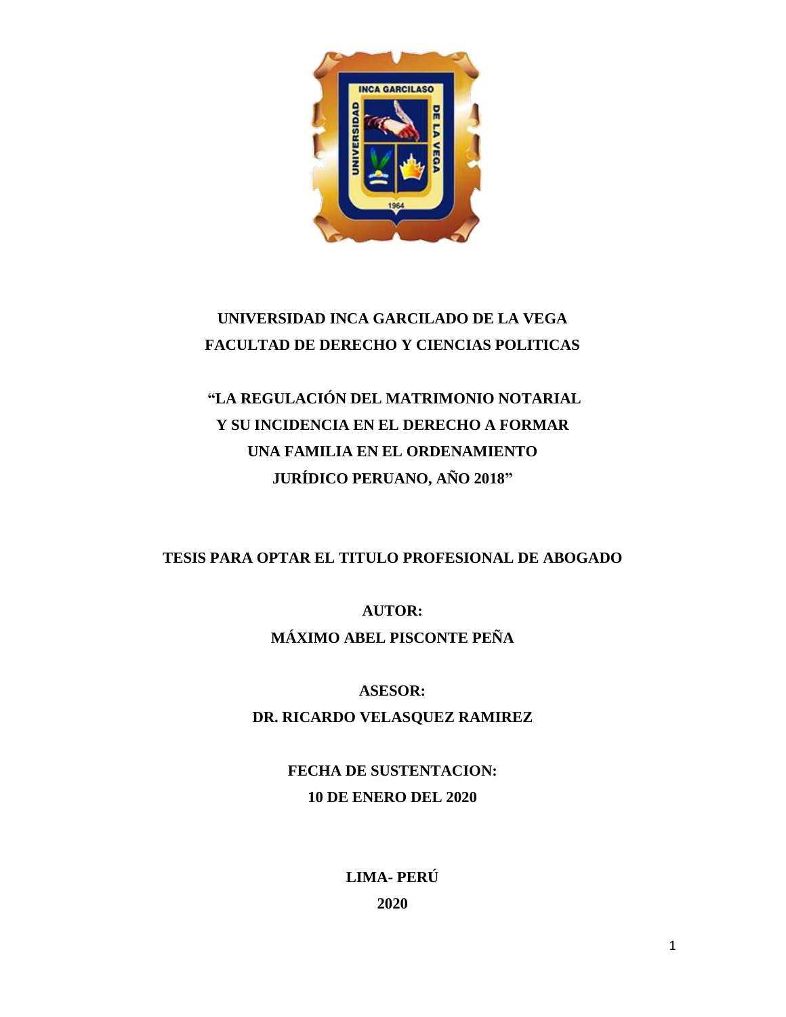

## **UNIVERSIDAD INCA GARCILADO DE LA VEGA FACULTAD DE DERECHO Y CIENCIAS POLITICAS**

# **"LA REGULACIÓN DEL MATRIMONIO NOTARIAL Y SU INCIDENCIA EN EL DERECHO A FORMAR UNA FAMILIA EN EL ORDENAMIENTO JURÍDICO PERUANO, AÑO 2018"**

## **TESIS PARA OPTAR EL TITULO PROFESIONAL DE ABOGADO**

**AUTOR: MÁXIMO ABEL PISCONTE PEÑA**

**ASESOR: DR. RICARDO VELASQUEZ RAMIREZ**

> **FECHA DE SUSTENTACION: 10 DE ENERO DEL 2020**

> > **LIMA- PERÚ 2020**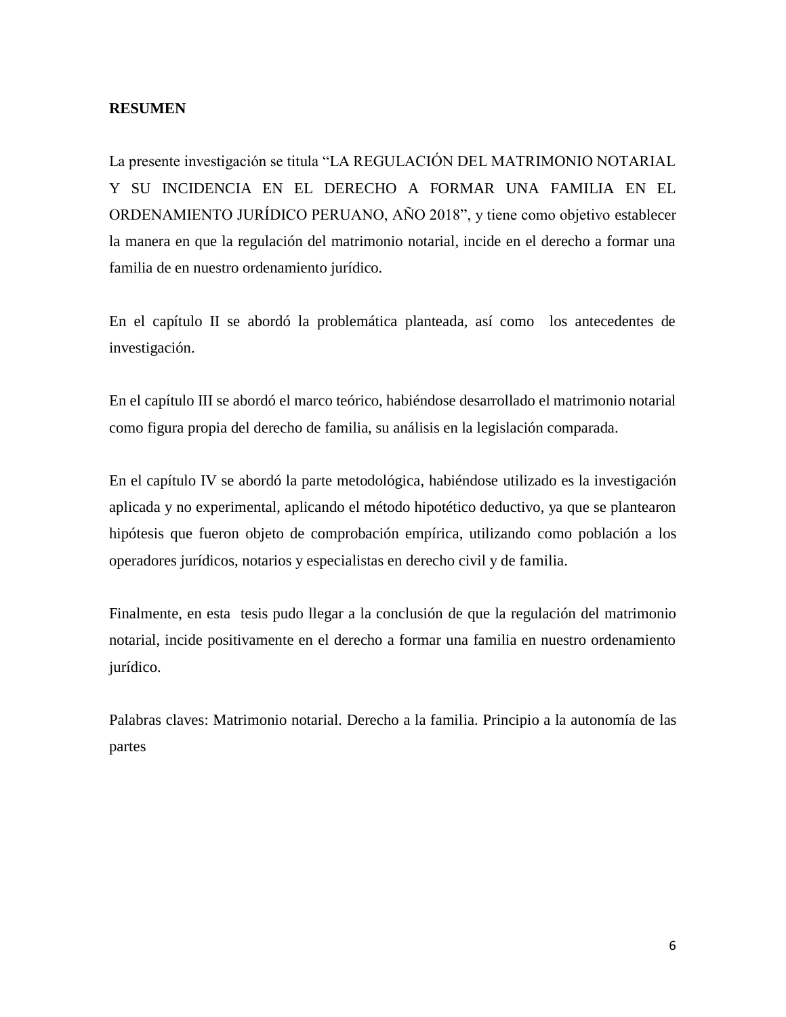#### **RESUMEN**

La presente investigación se titula "LA REGULACIÓN DEL MATRIMONIO NOTARIAL Y SU INCIDENCIA EN EL DERECHO A FORMAR UNA FAMILIA EN EL ORDENAMIENTO JURÍDICO PERUANO, AÑO 2018", y tiene como objetivo establecer la manera en que la regulación del matrimonio notarial, incide en el derecho a formar una familia de en nuestro ordenamiento jurídico.

En el capítulo II se abordó la problemática planteada, así como los antecedentes de investigación.

En el capítulo III se abordó el marco teórico, habiéndose desarrollado el matrimonio notarial como figura propia del derecho de familia, su análisis en la legislación comparada.

En el capítulo IV se abordó la parte metodológica, habiéndose utilizado es la investigación aplicada y no experimental, aplicando el método hipotético deductivo, ya que se plantearon hipótesis que fueron objeto de comprobación empírica, utilizando como población a los operadores jurídicos, notarios y especialistas en derecho civil y de familia.

Finalmente, en esta tesis pudo llegar a la conclusión de que la regulación del matrimonio notarial, incide positivamente en el derecho a formar una familia en nuestro ordenamiento jurídico.

Palabras claves: Matrimonio notarial. Derecho a la familia. Principio a la autonomía de las partes